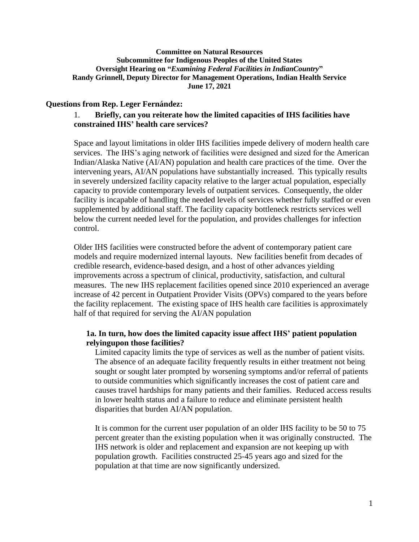#### **Committee on Natural Resources Subcommittee for Indigenous Peoples of the United States Oversight Hearing on "***Examining Federal Facilities in IndianCountry***" Randy Grinnell, Deputy Director for Management Operations, Indian Health Service June 17, 2021**

### **Questions from Rep. Leger Fernández:**

### 1. **Briefly, can you reiterate how the limited capacities of IHS facilities have constrained IHS' health care services?**

Space and layout limitations in older IHS facilities impede delivery of modern health care services. The IHS's aging network of facilities were designed and sized for the American Indian/Alaska Native (AI/AN) population and health care practices of the time. Over the intervening years, AI/AN populations have substantially increased. This typically results in severely undersized facility capacity relative to the larger actual population, especially capacity to provide contemporary levels of outpatient services. Consequently, the older facility is incapable of handling the needed levels of services whether fully staffed or even supplemented by additional staff. The facility capacity bottleneck restricts services well below the current needed level for the population, and provides challenges for infection control.

Older IHS facilities were constructed before the advent of contemporary patient care models and require modernized internal layouts. New facilities benefit from decades of credible research, evidence-based design, and a host of other advances yielding improvements across a spectrum of clinical, productivity, satisfaction, and cultural measures. The new IHS replacement facilities opened since 2010 experienced an average increase of 42 percent in Outpatient Provider Visits (OPVs) compared to the years before the facility replacement. The existing space of IHS health care facilities is approximately half of that required for serving the AI/AN population

### **1a. In turn, how does the limited capacity issue affect IHS' patient population relyingupon those facilities?**

Limited capacity limits the type of services as well as the number of patient visits. The absence of an adequate facility frequently results in either treatment not being sought or sought later prompted by worsening symptoms and/or referral of patients to outside communities which significantly increases the cost of patient care and causes travel hardships for many patients and their families. Reduced access results in lower health status and a failure to reduce and eliminate persistent health disparities that burden AI/AN population.

It is common for the current user population of an older IHS facility to be 50 to 75 percent greater than the existing population when it was originally constructed. The IHS network is older and replacement and expansion are not keeping up with population growth. Facilities constructed 25-45 years ago and sized for the population at that time are now significantly undersized.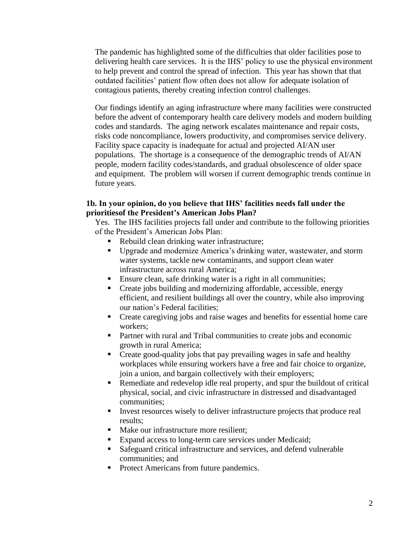The pandemic has highlighted some of the difficulties that older facilities pose to delivering health care services. It is the IHS' policy to use the physical environment to help prevent and control the spread of infection. This year has shown that that outdated facilities' patient flow often does not allow for adequate isolation of contagious patients, thereby creating infection control challenges.

Our findings identify an aging infrastructure where many facilities were constructed before the advent of contemporary health care delivery models and modern building codes and standards. The aging network escalates maintenance and repair costs, risks code noncompliance, lowers productivity, and compromises service delivery. Facility space capacity is inadequate for actual and projected AI/AN user populations. The shortage is a consequence of the demographic trends of AI/AN people, modern facility codes/standards, and gradual obsolescence of older space and equipment. The problem will worsen if current demographic trends continue in future years.

### **1b. In your opinion, do you believe that IHS' facilities needs fall under the prioritiesof the President's American Jobs Plan?**

Yes. The IHS facilities projects fall under and contribute to the following priorities of the President's American Jobs Plan:

- Rebuild clean drinking water infrastructure;
- Upgrade and modernize America's drinking water, wastewater, and storm water systems, tackle new contaminants, and support clean water infrastructure across rural America;
- Ensure clean, safe drinking water is a right in all communities;
- Create jobs building and modernizing affordable, accessible, energy efficient, and resilient buildings all over the country, while also improving our nation's Federal facilities;
- Create caregiving jobs and raise wages and benefits for essential home care workers;
- Partner with rural and Tribal communities to create jobs and economic growth in rural America;
- Create good-quality jobs that pay prevailing wages in safe and healthy workplaces while ensuring workers have a free and fair choice to organize, join a union, and bargain collectively with their employers;
- Remediate and redevelop idle real property, and spur the buildout of critical physical, social, and civic infrastructure in distressed and disadvantaged communities;
- Invest resources wisely to deliver infrastructure projects that produce real results;
- Make our infrastructure more resilient:
- Expand access to long-term care services under Medicaid;
- Safeguard critical infrastructure and services, and defend vulnerable communities; and
- Protect Americans from future pandemics.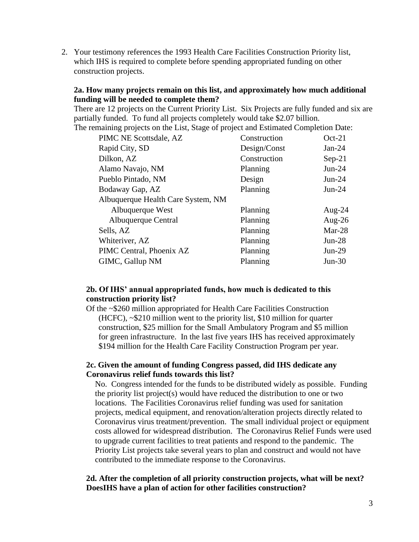2. Your testimony references the 1993 Health Care Facilities Construction Priority list, which IHS is required to complete before spending appropriated funding on other construction projects.

### **2a. How many projects remain on this list, and approximately how much additional funding will be needed to complete them?**

There are 12 projects on the Current Priority List. Six Projects are fully funded and six are partially funded. To fund all projects completely would take \$2.07 billion. The remaining projects on the List, Stage of project and Estimated Completion Date:

| PIMC NE Scottsdale, AZ             | Construction | $Oct-21$  |
|------------------------------------|--------------|-----------|
| Rapid City, SD                     | Design/Const | Jan-24    |
| Dilkon, AZ                         | Construction | $Sep-21$  |
| Alamo Navajo, NM                   | Planning     | $Jun-24$  |
| Pueblo Pintado, NM                 | Design       | $Jun-24$  |
| Bodaway Gap, AZ                    | Planning     | $Jun-24$  |
| Albuquerque Health Care System, NM |              |           |
| Albuquerque West                   | Planning     | Aug- $24$ |
| Albuquerque Central                | Planning     | Aug-26    |
| Sells, AZ                          | Planning     | Mar-28    |
| Whiteriver, AZ                     | Planning     | $Jun-28$  |
| PIMC Central, Phoenix AZ           | Planning     | $Jun-29$  |
| GIMC, Gallup NM                    | Planning     | $Jun-30$  |
|                                    |              |           |

### **2b. Of IHS' annual appropriated funds, how much is dedicated to this construction priority list?**

Of the ~\$260 million appropriated for Health Care Facilities Construction (HCFC), ~\$210 million went to the priority list, \$10 million for quarter construction, \$25 million for the Small Ambulatory Program and \$5 million for green infrastructure. In the last five years IHS has received approximately \$194 million for the Health Care Facility Construction Program per year.

### **2c. Given the amount of funding Congress passed, did IHS dedicate any Coronavirus relief funds towards this list?**

No. Congress intended for the funds to be distributed widely as possible. Funding the priority list project(s) would have reduced the distribution to one or two locations. The Facilities Coronavirus relief funding was used for sanitation projects, medical equipment, and renovation/alteration projects directly related to Coronavirus virus treatment/prevention. The small individual project or equipment costs allowed for widespread distribution. The Coronavirus Relief Funds were used to upgrade current facilities to treat patients and respond to the pandemic. The Priority List projects take several years to plan and construct and would not have contributed to the immediate response to the Coronavirus.

### **2d. After the completion of all priority construction projects, what will be next? DoesIHS have a plan of action for other facilities construction?**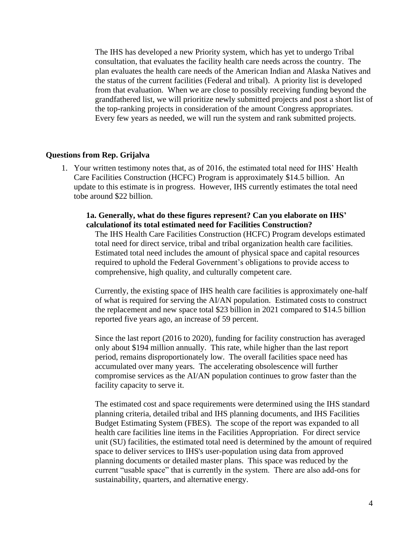The IHS has developed a new Priority system, which has yet to undergo Tribal consultation, that evaluates the facility health care needs across the country. The plan evaluates the health care needs of the American Indian and Alaska Natives and the status of the current facilities (Federal and tribal). A priority list is developed from that evaluation. When we are close to possibly receiving funding beyond the grandfathered list, we will prioritize newly submitted projects and post a short list of the top-ranking projects in consideration of the amount Congress appropriates. Every few years as needed, we will run the system and rank submitted projects.

#### **Questions from Rep. Grijalva**

1. Your written testimony notes that, as of 2016, the estimated total need for IHS' Health Care Facilities Construction (HCFC) Program is approximately \$14.5 billion. An update to this estimate is in progress. However, IHS currently estimates the total need tobe around \$22 billion.

### **1a. Generally, what do these figures represent? Can you elaborate on IHS' calculationof its total estimated need for Facilities Construction?**

The IHS Health Care Facilities Construction (HCFC) Program develops estimated total need for direct service, tribal and tribal organization health care facilities. Estimated total need includes the amount of physical space and capital resources required to uphold the Federal Government's obligations to provide access to comprehensive, high quality, and culturally competent care.

Currently, the existing space of IHS health care facilities is approximately one-half of what is required for serving the AI/AN population. Estimated costs to construct the replacement and new space total \$23 billion in 2021 compared to \$14.5 billion reported five years ago, an increase of 59 percent.

Since the last report (2016 to 2020), funding for facility construction has averaged only about \$194 million annually. This rate, while higher than the last report period, remains disproportionately low. The overall facilities space need has accumulated over many years. The accelerating obsolescence will further compromise services as the AI/AN population continues to grow faster than the facility capacity to serve it.

The estimated cost and space requirements were determined using the IHS standard planning criteria, detailed tribal and IHS planning documents, and IHS Facilities Budget Estimating System (FBES). The scope of the report was expanded to all health care facilities line items in the Facilities Appropriation. For direct service unit (SU) facilities, the estimated total need is determined by the amount of required space to deliver services to IHS's user-population using data from approved planning documents or detailed master plans. This space was reduced by the current "usable space" that is currently in the system. There are also add-ons for sustainability, quarters, and alternative energy.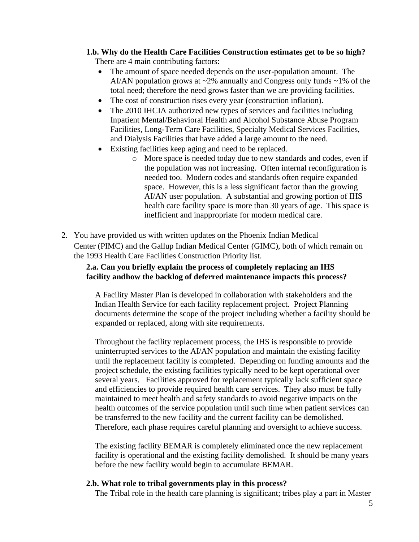## **1.b. Why do the Health Care Facilities Construction estimates get to be so high?**

There are 4 main contributing factors:

- The amount of space needed depends on the user-population amount. The AI/AN population grows at  $\sim 2\%$  annually and Congress only funds  $\sim 1\%$  of the total need; therefore the need grows faster than we are providing facilities.
- The cost of construction rises every year (construction inflation).
- The 2010 IHCIA authorized new types of services and facilities including Inpatient Mental/Behavioral Health and Alcohol Substance Abuse Program Facilities, Long-Term Care Facilities, Specialty Medical Services Facilities, and Dialysis Facilities that have added a large amount to the need.
- Existing facilities keep aging and need to be replaced.
	- o More space is needed today due to new standards and codes, even if the population was not increasing. Often internal reconfiguration is needed too. Modern codes and standards often require expanded space. However, this is a less significant factor than the growing AI/AN user population. A substantial and growing portion of IHS health care facility space is more than 30 years of age. This space is inefficient and inappropriate for modern medical care.
- 2. You have provided us with written updates on the Phoenix Indian Medical Center (PIMC) and the Gallup Indian Medical Center (GIMC), both of which remain on the 1993 Health Care Facilities Construction Priority list.

## **2.a. Can you briefly explain the process of completely replacing an IHS facility andhow the backlog of deferred maintenance impacts this process?**

A Facility Master Plan is developed in collaboration with stakeholders and the Indian Health Service for each facility replacement project. Project Planning documents determine the scope of the project including whether a facility should be expanded or replaced, along with site requirements.

Throughout the facility replacement process, the IHS is responsible to provide uninterrupted services to the AI/AN population and maintain the existing facility until the replacement facility is completed. Depending on funding amounts and the project schedule, the existing facilities typically need to be kept operational over several years. Facilities approved for replacement typically lack sufficient space and efficiencies to provide required health care services. They also must be fully maintained to meet health and safety standards to avoid negative impacts on the health outcomes of the service population until such time when patient services can be transferred to the new facility and the current facility can be demolished. Therefore, each phase requires careful planning and oversight to achieve success.

The existing facility BEMAR is completely eliminated once the new replacement facility is operational and the existing facility demolished. It should be many years before the new facility would begin to accumulate BEMAR.

### **2.b. What role to tribal governments play in this process?**

The Tribal role in the health care planning is significant; tribes play a part in Master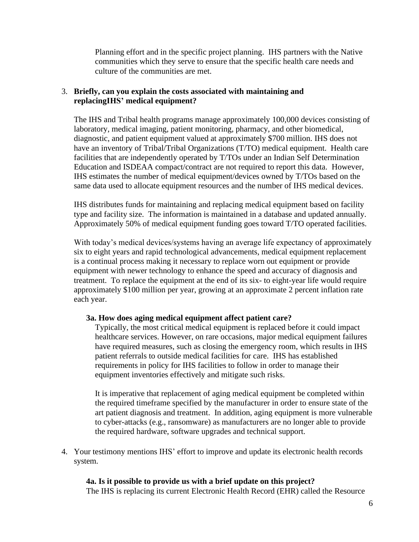Planning effort and in the specific project planning. IHS partners with the Native communities which they serve to ensure that the specific health care needs and culture of the communities are met.

### 3. **Briefly, can you explain the costs associated with maintaining and replacingIHS' medical equipment?**

The IHS and Tribal health programs manage approximately 100,000 devices consisting of laboratory, medical imaging, patient monitoring, pharmacy, and other biomedical, diagnostic, and patient equipment valued at approximately \$700 million. IHS does not have an inventory of Tribal/Tribal Organizations (T/TO) medical equipment. Health care facilities that are independently operated by T/TOs under an Indian Self Determination Education and ISDEAA compact/contract are not required to report this data. However, IHS estimates the number of medical equipment/devices owned by T/TOs based on the same data used to allocate equipment resources and the number of IHS medical devices.

IHS distributes funds for maintaining and replacing medical equipment based on facility type and facility size. The information is maintained in a database and updated annually. Approximately 50% of medical equipment funding goes toward T/TO operated facilities.

With today's medical devices/systems having an average life expectancy of approximately six to eight years and rapid technological advancements, medical equipment replacement is a continual process making it necessary to replace worn out equipment or provide equipment with newer technology to enhance the speed and accuracy of diagnosis and treatment. To replace the equipment at the end of its six- to eight-year life would require approximately \$100 million per year, growing at an approximate 2 percent inflation rate each year.

### **3a. How does aging medical equipment affect patient care?**

Typically, the most critical medical equipment is replaced before it could impact healthcare services. However, on rare occasions, major medical equipment failures have required measures, such as closing the emergency room, which results in IHS patient referrals to outside medical facilities for care. IHS has established requirements in policy for IHS facilities to follow in order to manage their equipment inventories effectively and mitigate such risks.

It is imperative that replacement of aging medical equipment be completed within the required timeframe specified by the manufacturer in order to ensure state of the art patient diagnosis and treatment. In addition, aging equipment is more vulnerable to cyber-attacks (e.g., ransomware) as manufacturers are no longer able to provide the required hardware, software upgrades and technical support.

4. Your testimony mentions IHS' effort to improve and update its electronic health records system.

### **4a. Is it possible to provide us with a brief update on this project?**

The IHS is replacing its current Electronic Health Record (EHR) called the Resource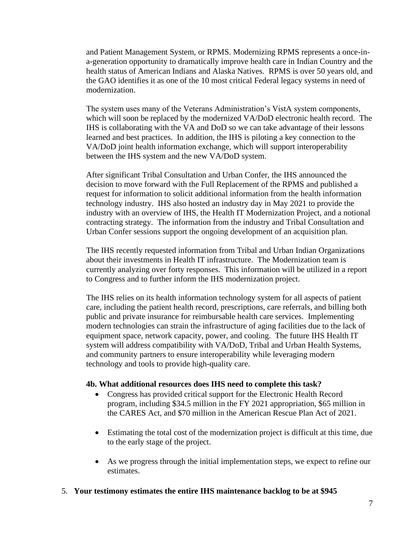and Patient Management System, or RPMS. Modernizing RPMS represents a once-ina-generation opportunity to dramatically improve health care in Indian Country and the health status of American Indians and Alaska Natives. RPMS is over 50 years old, and the GAO identifies it as one of the 10 most critical Federal legacy systems in need of modernization.

The system uses many of the Veterans Administration's VistA system components, which will soon be replaced by the modernized VA/DoD electronic health record. The IHS is collaborating with the VA and DoD so we can take advantage of their lessons learned and best practices. In addition, the IHS is piloting a key connection to the VA/DoD joint health information exchange, which will support interoperability between the IHS system and the new VA/DoD system.

After significant Tribal Consultation and Urban Confer, the IHS announced the decision to move forward with the Full Replacement of the RPMS and published a request for information to solicit additional information from the health information technology industry. IHS also hosted an industry day in May 2021 to provide the industry with an overview of IHS, the Health IT Modernization Project, and a notional contracting strategy. The information from the industry and Tribal Consultation and Urban Confer sessions support the ongoing development of an acquisition plan.

The IHS recently requested information from Tribal and Urban Indian Organizations about their investments in Health IT infrastructure. The Modernization team is currently analyzing over forty responses. This information will be utilized in a report to Congress and to further inform the IHS modernization project.

The IHS relies on its health information technology system for all aspects of patient care, including the patient health record, prescriptions, care referrals, and billing both public and private insurance for reimbursable health care services. Implementing modern technologies can strain the infrastructure of aging facilities due to the lack of equipment space, network capacity, power, and cooling. The future IHS Health IT system will address compatibility with VA/DoD, Tribal and Urban Health Systems, and community partners to ensure interoperability while leveraging modern technology and tools to provide high-quality care.

### **4b. What additional resources does IHS need to complete this task?**

- Congress has provided critical support for the Electronic Health Record program, including \$34.5 million in the FY 2021 appropriation, \$65 million in the CARES Act, and \$70 million in the American Rescue Plan Act of 2021.
- Estimating the total cost of the modernization project is difficult at this time, due to the early stage of the project.
- As we progress through the initial implementation steps, we expect to refine our estimates.

### 5. **Your testimony estimates the entire IHS maintenance backlog to be at \$945**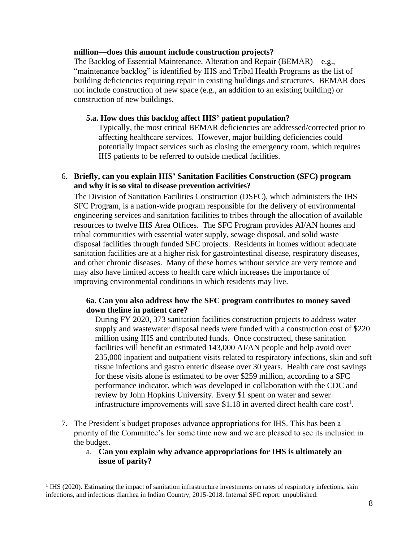#### **million—does this amount include construction projects?**

The Backlog of Essential Maintenance, Alteration and Repair (BEMAR) – e.g., "maintenance backlog" is identified by IHS and Tribal Health Programs as the list of building deficiencies requiring repair in existing buildings and structures. BEMAR does not include construction of new space (e.g., an addition to an existing building) or construction of new buildings.

### **5.a. How does this backlog affect IHS' patient population?**

Typically, the most critical BEMAR deficiencies are addressed/corrected prior to affecting healthcare services. However, major building deficiencies could potentially impact services such as closing the emergency room, which requires IHS patients to be referred to outside medical facilities.

### 6. **Briefly, can you explain IHS' Sanitation Facilities Construction (SFC) program and why it is so vital to disease prevention activities?**

The Division of Sanitation Facilities Construction (DSFC), which administers the IHS SFC Program, is a nation-wide program responsible for the delivery of environmental engineering services and sanitation facilities to tribes through the allocation of available resources to twelve IHS Area Offices. The SFC Program provides AI/AN homes and tribal communities with essential water supply, sewage disposal, and solid waste disposal facilities through funded SFC projects. Residents in homes without adequate sanitation facilities are at a higher risk for gastrointestinal disease, respiratory diseases, and other chronic diseases. Many of these homes without service are very remote and may also have limited access to health care which increases the importance of improving environmental conditions in which residents may live.

### **6a. Can you also address how the SFC program contributes to money saved down theline in patient care?**

During FY 2020, 373 sanitation facilities construction projects to address water supply and wastewater disposal needs were funded with a construction cost of \$220 million using IHS and contributed funds. Once constructed, these sanitation facilities will benefit an estimated 143,000 AI/AN people and help avoid over 235,000 inpatient and outpatient visits related to respiratory infections, skin and soft tissue infections and gastro enteric disease over 30 years. Health care cost savings for these visits alone is estimated to be over \$259 million, according to a SFC performance indicator, which was developed in collaboration with the CDC and review by John Hopkins University. Every \$1 spent on water and sewer infrastructure improvements will save \$1.18 in averted direct health care  $cost<sup>1</sup>$ .

- 7. The President's budget proposes advance appropriations for IHS. This has been a priority of the Committee's for some time now and we are pleased to see its inclusion in the budget.
	- a. **Can you explain why advance appropriations for IHS is ultimately an issue of parity?**

<sup>&</sup>lt;sup>1</sup> IHS (2020). Estimating the impact of sanitation infrastructure investments on rates of respiratory infections, skin infections, and infectious diarrhea in Indian Country, 2015-2018. Internal SFC report: unpublished.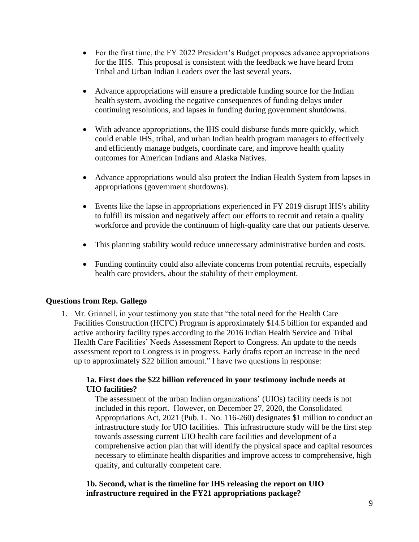- For the first time, the FY 2022 President's Budget proposes advance appropriations for the IHS. This proposal is consistent with the feedback we have heard from Tribal and Urban Indian Leaders over the last several years.
- Advance appropriations will ensure a predictable funding source for the Indian health system, avoiding the negative consequences of funding delays under continuing resolutions, and lapses in funding during government shutdowns.
- With advance appropriations, the IHS could disburse funds more quickly, which could enable IHS, tribal, and urban Indian health program managers to effectively and efficiently manage budgets, coordinate care, and improve health quality outcomes for American Indians and Alaska Natives.
- Advance appropriations would also protect the Indian Health System from lapses in appropriations (government shutdowns).
- Events like the lapse in appropriations experienced in FY 2019 disrupt IHS's ability to fulfill its mission and negatively affect our efforts to recruit and retain a quality workforce and provide the continuum of high-quality care that our patients deserve.
- This planning stability would reduce unnecessary administrative burden and costs.
- Funding continuity could also alleviate concerns from potential recruits, especially health care providers, about the stability of their employment.

# **Questions from Rep. Gallego**

1. Mr. Grinnell, in your testimony you state that "the total need for the Health Care Facilities Construction (HCFC) Program is approximately \$14.5 billion for expanded and active authority facility types according to the 2016 Indian Health Service and Tribal Health Care Facilities' Needs Assessment Report to Congress. An update to the needs assessment report to Congress is in progress. Early drafts report an increase in the need up to approximately \$22 billion amount." I have two questions in response:

# **1a. First does the \$22 billion referenced in your testimony include needs at UIO facilities?**

The assessment of the urban Indian organizations' (UIOs) facility needs is not included in this report. However, on December 27, 2020, the Consolidated Appropriations Act, 2021 (Pub. L. No. 116-260) designates \$1 million to conduct an infrastructure study for UIO facilities. This infrastructure study will be the first step towards assessing current UIO health care facilities and development of a comprehensive action plan that will identify the physical space and capital resources necessary to eliminate health disparities and improve access to comprehensive, high quality, and culturally competent care.

### **1b. Second, what is the timeline for IHS releasing the report on UIO infrastructure required in the FY21 appropriations package?**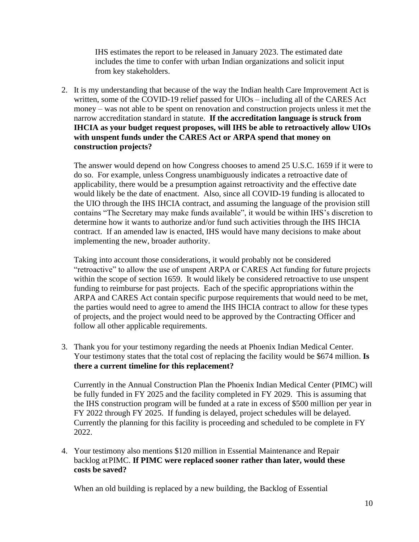IHS estimates the report to be released in January 2023. The estimated date includes the time to confer with urban Indian organizations and solicit input from key stakeholders.

2. It is my understanding that because of the way the Indian health Care Improvement Act is written, some of the COVID-19 relief passed for UIOs – including all of the CARES Act money – was not able to be spent on renovation and construction projects unless it met the narrow accreditation standard in statute. **If the accreditation language is struck from IHCIA as your budget request proposes, will IHS be able to retroactively allow UIOs with unspent funds under the CARES Act or ARPA spend that money on construction projects?**

The answer would depend on how Congress chooses to amend 25 U.S.C. 1659 if it were to do so. For example, unless Congress unambiguously indicates a retroactive date of applicability, there would be a presumption against retroactivity and the effective date would likely be the date of enactment. Also, since all COVID-19 funding is allocated to the UIO through the IHS IHCIA contract, and assuming the language of the provision still contains "The Secretary may make funds available", it would be within IHS's discretion to determine how it wants to authorize and/or fund such activities through the IHS IHCIA contract. If an amended law is enacted, IHS would have many decisions to make about implementing the new, broader authority.

Taking into account those considerations, it would probably not be considered "retroactive" to allow the use of unspent ARPA or CARES Act funding for future projects within the scope of section 1659. It would likely be considered retroactive to use unspent funding to reimburse for past projects. Each of the specific appropriations within the ARPA and CARES Act contain specific purpose requirements that would need to be met, the parties would need to agree to amend the IHS IHCIA contract to allow for these types of projects, and the project would need to be approved by the Contracting Officer and follow all other applicable requirements.

3. Thank you for your testimony regarding the needs at Phoenix Indian Medical Center. Your testimony states that the total cost of replacing the facility would be \$674 million. **Is there a current timeline for this replacement?**

Currently in the Annual Construction Plan the Phoenix Indian Medical Center (PIMC) will be fully funded in FY 2025 and the facility completed in FY 2029. This is assuming that the IHS construction program will be funded at a rate in excess of \$500 million per year in FY 2022 through FY 2025. If funding is delayed, project schedules will be delayed. Currently the planning for this facility is proceeding and scheduled to be complete in FY 2022.

4. Your testimony also mentions \$120 million in Essential Maintenance and Repair backlog at PIMC. **If PIMC were replaced sooner rather than later, would these costs be saved?**

When an old building is replaced by a new building, the Backlog of Essential